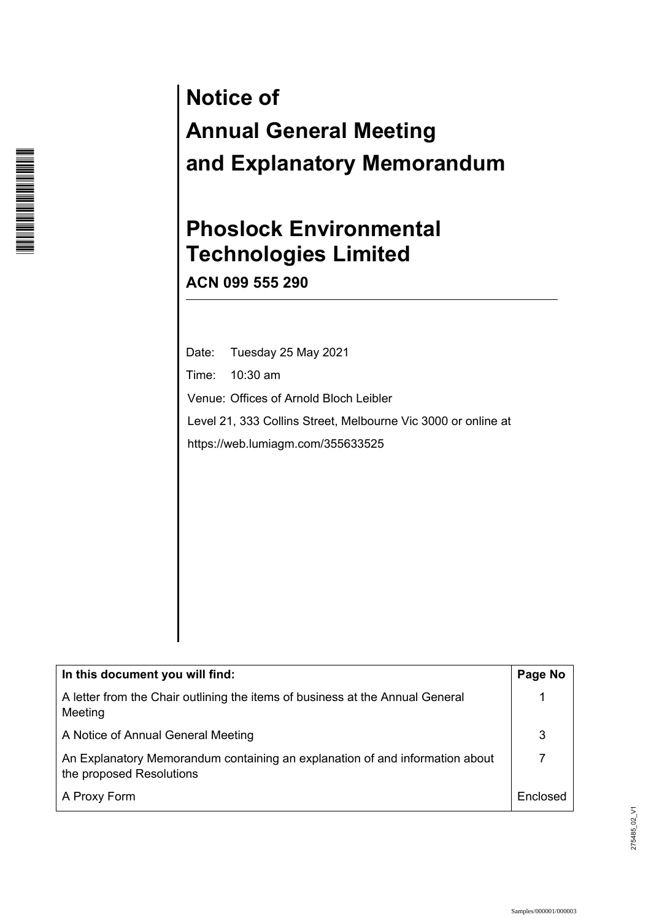# **Notice of Annual General Meeting and Explanatory Memorandum**

# **Phoslock Environmental Technologies Limited**

**ACN 099 555 290** 

\*I00000106\***THE REAL PROPERTY OF A SET OF REAL** 

> Date: Tuesday 25 May 2021 Time: 10:30 am Venue: Offices of Arnold Bloch Leibler Level 21, 333 Collins Street, Melbourne Vic 3000 or online at https://web.lumiagm.com/355633525

| In this document you will find:                                                                          | Page No  |
|----------------------------------------------------------------------------------------------------------|----------|
| A letter from the Chair outlining the items of business at the Annual General<br>Meeting                 |          |
| A Notice of Annual General Meeting                                                                       |          |
| An Explanatory Memorandum containing an explanation of and information about<br>the proposed Resolutions |          |
| A Proxy Form                                                                                             | Enclosed |

275485\_02\_V1 275485\_02\_V1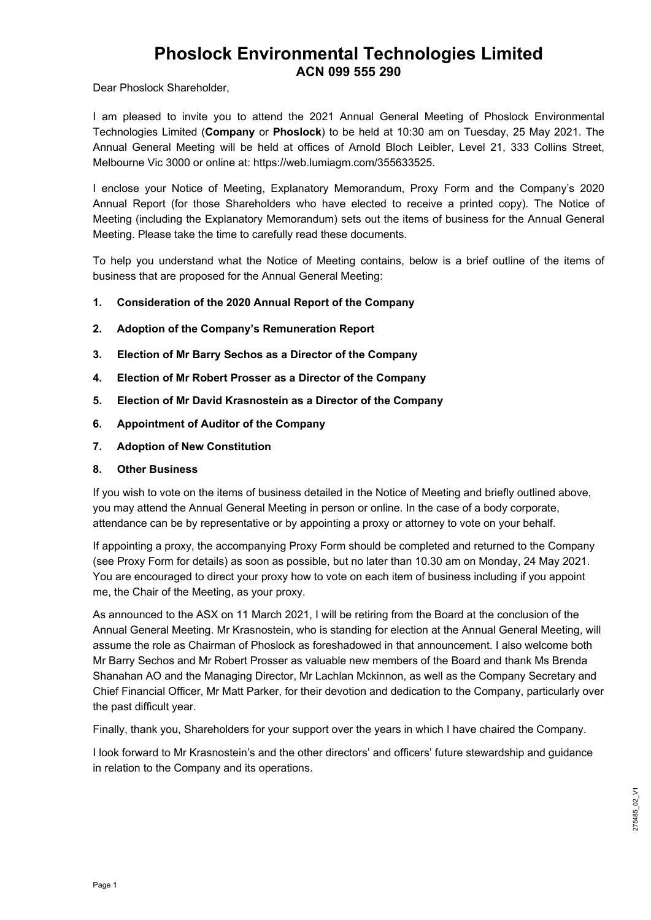## **Phoslock Environmental Technologies Limited ACN 099 555 290**

Dear Phoslock Shareholder,

I am pleased to invite you to attend the 2021 Annual General Meeting of Phoslock Environmental Technologies Limited (**Company** or **Phoslock**) to be held at 10:30 am on Tuesday, 25 May 2021. The Annual General Meeting will be held at offices of Arnold Bloch Leibler, Level 21, 333 Collins Street, Melbourne Vic 3000 or online at: https://web.lumiagm.com/355633525.

I enclose your Notice of Meeting, Explanatory Memorandum, Proxy Form and the Company's 2020 Annual Report (for those Shareholders who have elected to receive a printed copy). The Notice of Meeting (including the Explanatory Memorandum) sets out the items of business for the Annual General Meeting. Please take the time to carefully read these documents.

To help you understand what the Notice of Meeting contains, below is a brief outline of the items of business that are proposed for the Annual General Meeting:

- **1. Consideration of the 2020 Annual Report of the Company**
- **2. Adoption of the Company's Remuneration Report**
- **3. Election of Mr Barry Sechos as a Director of the Company**
- **4. Election of Mr Robert Prosser as a Director of the Company**
- **5. Election of Mr David Krasnostein as a Director of the Company**
- **6. Appointment of Auditor of the Company**
- **7. Adoption of New Constitution**

#### **8. Other Business**

If you wish to vote on the items of business detailed in the Notice of Meeting and briefly outlined above, you may attend the Annual General Meeting in person or online. In the case of a body corporate, attendance can be by representative or by appointing a proxy or attorney to vote on your behalf.

If appointing a proxy, the accompanying Proxy Form should be completed and returned to the Company (see Proxy Form for details) as soon as possible, but no later than 10.30 am on Monday, 24 May 2021. You are encouraged to direct your proxy how to vote on each item of business including if you appoint me, the Chair of the Meeting, as your proxy.

As announced to the ASX on 11 March 2021, I will be retiring from the Board at the conclusion of the Annual General Meeting. Mr Krasnostein, who is standing for election at the Annual General Meeting, will assume the role as Chairman of Phoslock as foreshadowed in that announcement. I also welcome both Mr Barry Sechos and Mr Robert Prosser as valuable new members of the Board and thank Ms Brenda Shanahan AO and the Managing Director, Mr Lachlan Mckinnon, as well as the Company Secretary and Chief Financial Officer, Mr Matt Parker, for their devotion and dedication to the Company, particularly over the past difficult year.

Finally, thank you, Shareholders for your support over the years in which I have chaired the Company.

I look forward to Mr Krasnostein's and the other directors' and officers' future stewardship and guidance in relation to the Company and its operations.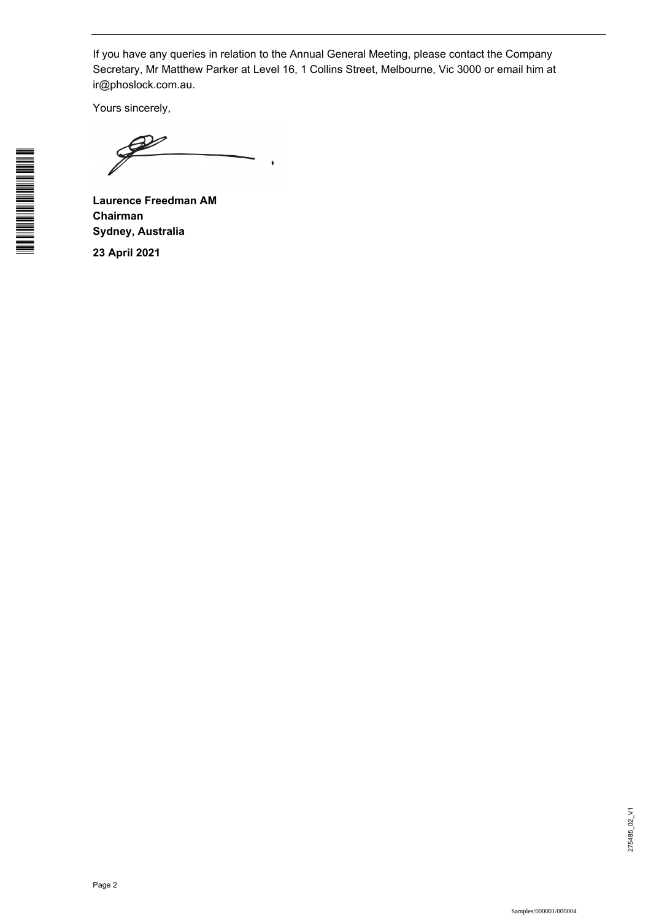If you have any queries in relation to the Annual General Meeting, please contact the Company Secretary, Mr Matthew Parker at Level 16, 1 Collins Street, Melbourne, Vic 3000 or email him at ir@phoslock.com.au.

ï

Yours sincerely,

**Laurence Freedman AM Chairman Sydney, Australia** 

**23 April 2021**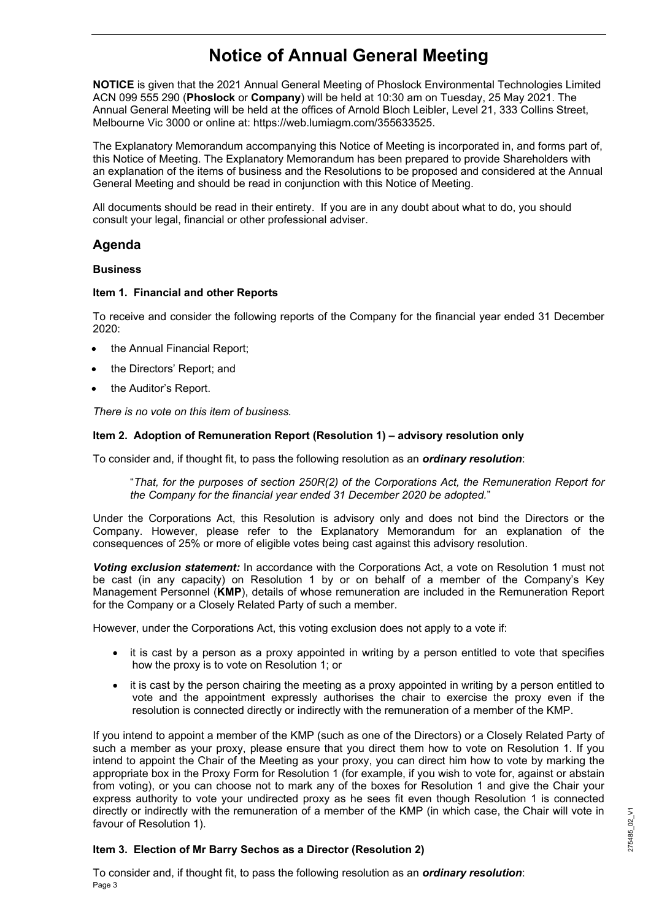# **Notice of Annual General Meeting**

**NOTICE** is given that the 2021 Annual General Meeting of Phoslock Environmental Technologies Limited ACN 099 555 290 (**Phoslock** or **Company**) will be held at 10:30 am on Tuesday, 25 May 2021. The Annual General Meeting will be held at the offices of Arnold Bloch Leibler, Level 21, 333 Collins Street, Melbourne Vic 3000 or online at: https://web.lumiagm.com/355633525.

The Explanatory Memorandum accompanying this Notice of Meeting is incorporated in, and forms part of, this Notice of Meeting. The Explanatory Memorandum has been prepared to provide Shareholders with an explanation of the items of business and the Resolutions to be proposed and considered at the Annual General Meeting and should be read in conjunction with this Notice of Meeting.

All documents should be read in their entirety. If you are in any doubt about what to do, you should consult your legal, financial or other professional adviser.

#### **Agenda**

#### **Business**

#### **Item 1. Financial and other Reports**

To receive and consider the following reports of the Company for the financial year ended 31 December 2020:

- the Annual Financial Report;
- the Directors' Report; and
- the Auditor's Report.

*There is no vote on this item of business.* 

#### **Item 2. Adoption of Remuneration Report (Resolution 1) – advisory resolution only**

To consider and, if thought fit, to pass the following resolution as an *ordinary resolution*:

"*That, for the purposes of section 250R(2) of the Corporations Act, the Remuneration Report for the Company for the financial year ended 31 December 2020 be adopted.*"

Under the Corporations Act, this Resolution is advisory only and does not bind the Directors or the Company. However, please refer to the Explanatory Memorandum for an explanation of the consequences of 25% or more of eligible votes being cast against this advisory resolution.

*Voting exclusion statement:* In accordance with the Corporations Act, a vote on Resolution 1 must not be cast (in any capacity) on Resolution 1 by or on behalf of a member of the Company's Key Management Personnel (**KMP**), details of whose remuneration are included in the Remuneration Report for the Company or a Closely Related Party of such a member.

However, under the Corporations Act, this voting exclusion does not apply to a vote if:

- it is cast by a person as a proxy appointed in writing by a person entitled to vote that specifies how the proxy is to vote on Resolution 1; or
- it is cast by the person chairing the meeting as a proxy appointed in writing by a person entitled to vote and the appointment expressly authorises the chair to exercise the proxy even if the resolution is connected directly or indirectly with the remuneration of a member of the KMP.

If you intend to appoint a member of the KMP (such as one of the Directors) or a Closely Related Party of such a member as your proxy, please ensure that you direct them how to vote on Resolution 1. If you intend to appoint the Chair of the Meeting as your proxy, you can direct him how to vote by marking the appropriate box in the Proxy Form for Resolution 1 (for example, if you wish to vote for, against or abstain from voting), or you can choose not to mark any of the boxes for Resolution 1 and give the Chair your express authority to vote your undirected proxy as he sees fit even though Resolution 1 is connected directly or indirectly with the remuneration of a member of the KMP (in which case, the Chair will vote in favour of Resolution 1).

#### **Item 3. Election of Mr Barry Sechos as a Director (Resolution 2)**

Page 3 To consider and, if thought fit, to pass the following resolution as an *ordinary resolution*: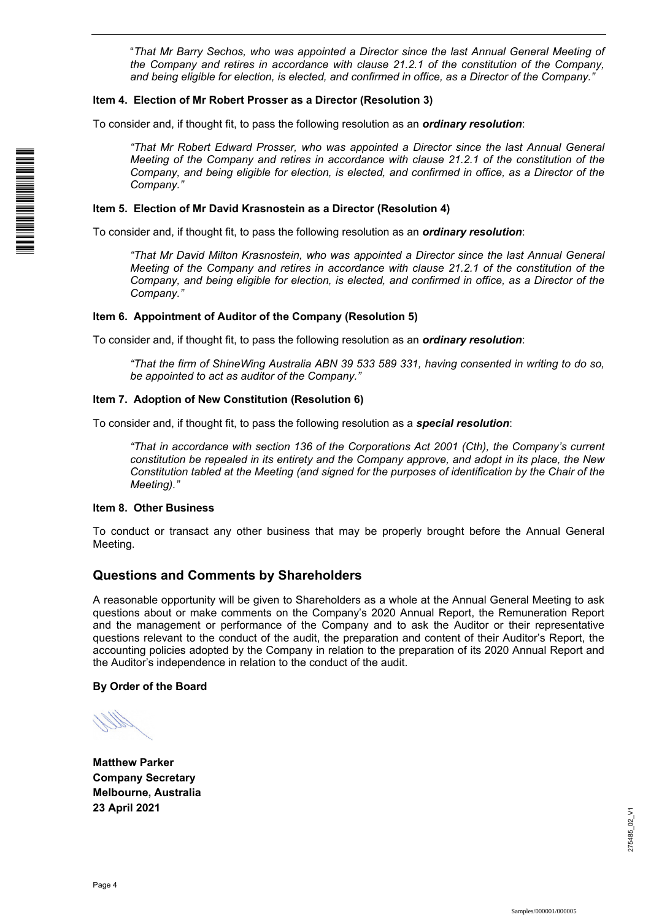"*That Mr Barry Sechos, who was appointed a Director since the last Annual General Meeting of the Company and retires in accordance with clause 21.2.1 of the constitution of the Company, and being eligible for election, is elected, and confirmed in office, as a Director of the Company."* 

#### **Item 4. Election of Mr Robert Prosser as a Director (Resolution 3)**

To consider and, if thought fit, to pass the following resolution as an *ordinary resolution*:

*"That Mr Robert Edward Prosser, who was appointed a Director since the last Annual General Meeting of the Company and retires in accordance with clause 21.2.1 of the constitution of the Company, and being eligible for election, is elected, and confirmed in office, as a Director of the Company."* 

#### **Item 5. Election of Mr David Krasnostein as a Director (Resolution 4)**

To consider and, if thought fit, to pass the following resolution as an *ordinary resolution*:

*"That Mr David Milton Krasnostein, who was appointed a Director since the last Annual General Meeting of the Company and retires in accordance with clause 21.2.1 of the constitution of the Company, and being eligible for election, is elected, and confirmed in office, as a Director of the Company."* 

#### **Item 6. Appointment of Auditor of the Company (Resolution 5)**

To consider and, if thought fit, to pass the following resolution as an *ordinary resolution*:

*"That the firm of ShineWing Australia ABN 39 533 589 331, having consented in writing to do so, be appointed to act as auditor of the Company."* 

#### **Item 7. Adoption of New Constitution (Resolution 6)**

To consider and, if thought fit, to pass the following resolution as a *special resolution*:

*"That in accordance with section 136 of the Corporations Act 2001 (Cth), the Company's current constitution be repealed in its entirety and the Company approve, and adopt in its place, the New Constitution tabled at the Meeting (and signed for the purposes of identification by the Chair of the Meeting)."* 

#### **Item 8. Other Business**

To conduct or transact any other business that may be properly brought before the Annual General Meeting.

#### **Questions and Comments by Shareholders**

A reasonable opportunity will be given to Shareholders as a whole at the Annual General Meeting to ask questions about or make comments on the Company's 2020 Annual Report, the Remuneration Report and the management or performance of the Company and to ask the Auditor or their representative questions relevant to the conduct of the audit, the preparation and content of their Auditor's Report, the accounting policies adopted by the Company in relation to the preparation of its 2020 Annual Report and the Auditor's independence in relation to the conduct of the audit.

#### **By Order of the Board**

**Matthew Parker Company Secretary Melbourne, Australia 23 April 2021**

\*I00000104\*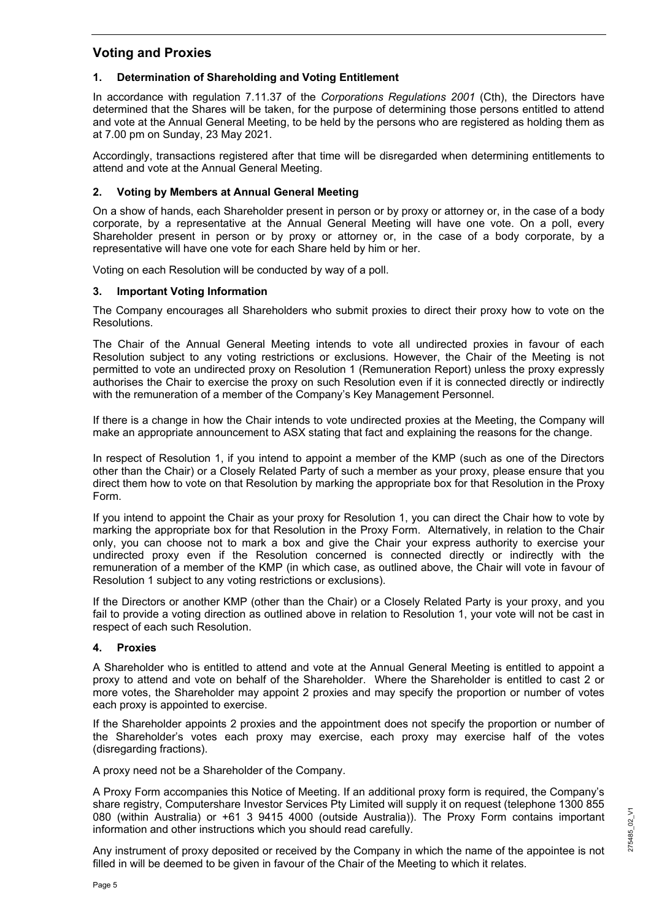### **Voting and Proxies**

#### **1. Determination of Shareholding and Voting Entitlement**

In accordance with regulation 7.11.37 of the *Corporations Regulations 2001* (Cth), the Directors have determined that the Shares will be taken, for the purpose of determining those persons entitled to attend and vote at the Annual General Meeting, to be held by the persons who are registered as holding them as at 7.00 pm on Sunday, 23 May 2021.

Accordingly, transactions registered after that time will be disregarded when determining entitlements to attend and vote at the Annual General Meeting.

#### **2. Voting by Members at Annual General Meeting**

On a show of hands, each Shareholder present in person or by proxy or attorney or, in the case of a body corporate, by a representative at the Annual General Meeting will have one vote. On a poll, every Shareholder present in person or by proxy or attorney or, in the case of a body corporate, by a representative will have one vote for each Share held by him or her.

Voting on each Resolution will be conducted by way of a poll.

#### **3. Important Voting Information**

The Company encourages all Shareholders who submit proxies to direct their proxy how to vote on the Resolutions.

The Chair of the Annual General Meeting intends to vote all undirected proxies in favour of each Resolution subject to any voting restrictions or exclusions. However, the Chair of the Meeting is not permitted to vote an undirected proxy on Resolution 1 (Remuneration Report) unless the proxy expressly authorises the Chair to exercise the proxy on such Resolution even if it is connected directly or indirectly with the remuneration of a member of the Company's Key Management Personnel.

If there is a change in how the Chair intends to vote undirected proxies at the Meeting, the Company will make an appropriate announcement to ASX stating that fact and explaining the reasons for the change.

In respect of Resolution 1, if you intend to appoint a member of the KMP (such as one of the Directors other than the Chair) or a Closely Related Party of such a member as your proxy, please ensure that you direct them how to vote on that Resolution by marking the appropriate box for that Resolution in the Proxy Form.

If you intend to appoint the Chair as your proxy for Resolution 1, you can direct the Chair how to vote by marking the appropriate box for that Resolution in the Proxy Form. Alternatively, in relation to the Chair only, you can choose not to mark a box and give the Chair your express authority to exercise your undirected proxy even if the Resolution concerned is connected directly or indirectly with the remuneration of a member of the KMP (in which case, as outlined above, the Chair will vote in favour of Resolution 1 subject to any voting restrictions or exclusions).

If the Directors or another KMP (other than the Chair) or a Closely Related Party is your proxy, and you fail to provide a voting direction as outlined above in relation to Resolution 1, your vote will not be cast in respect of each such Resolution.

#### **4. Proxies**

A Shareholder who is entitled to attend and vote at the Annual General Meeting is entitled to appoint a proxy to attend and vote on behalf of the Shareholder. Where the Shareholder is entitled to cast 2 or more votes, the Shareholder may appoint 2 proxies and may specify the proportion or number of votes each proxy is appointed to exercise.

If the Shareholder appoints 2 proxies and the appointment does not specify the proportion or number of the Shareholder's votes each proxy may exercise, each proxy may exercise half of the votes (disregarding fractions).

A proxy need not be a Shareholder of the Company.

A Proxy Form accompanies this Notice of Meeting. If an additional proxy form is required, the Company's share registry, Computershare Investor Services Pty Limited will supply it on request (telephone 1300 855 080 (within Australia) or +61 3 9415 4000 (outside Australia)). The Proxy Form contains important information and other instructions which you should read carefully.

Any instrument of proxy deposited or received by the Company in which the name of the appointee is not filled in will be deemed to be given in favour of the Chair of the Meeting to which it relates.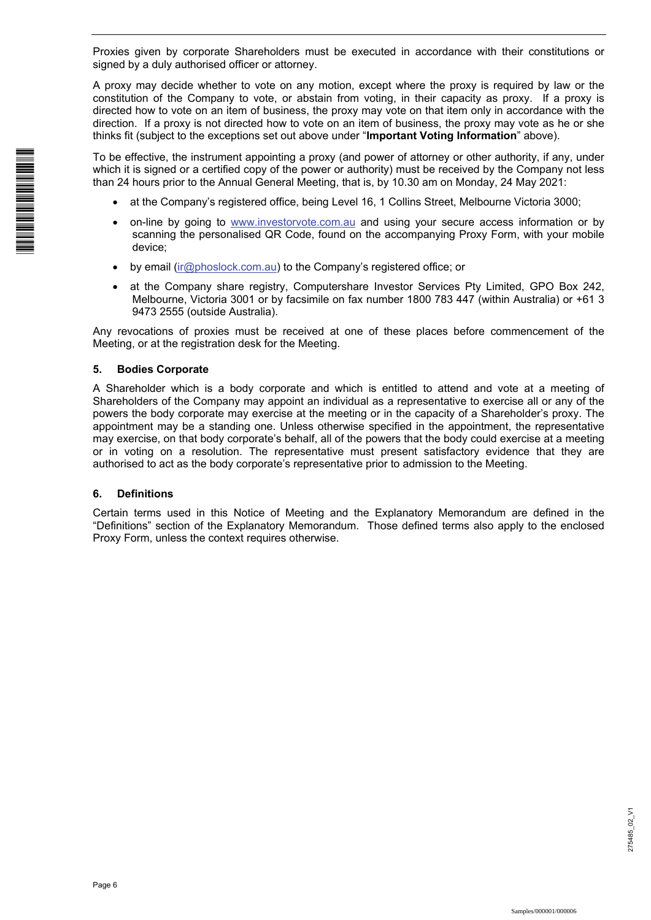Proxies given by corporate Shareholders must be executed in accordance with their constitutions or signed by a duly authorised officer or attorney.

A proxy may decide whether to vote on any motion, except where the proxy is required by law or the constitution of the Company to vote, or abstain from voting, in their capacity as proxy. If a proxy is directed how to vote on an item of business, the proxy may vote on that item only in accordance with the direction. If a proxy is not directed how to vote on an item of business, the proxy may vote as he or she thinks fit (subject to the exceptions set out above under "**Important Voting Information**" above).

To be effective, the instrument appointing a proxy (and power of attorney or other authority, if any, under which it is signed or a certified copy of the power or authority) must be received by the Company not less than 24 hours prior to the Annual General Meeting, that is, by 10.30 am on Monday, 24 May 2021:

- at the Company's registered office, being Level 16, 1 Collins Street, Melbourne Victoria 3000;
- on-line by going to www.investorvote.com.au and using your secure access information or by scanning the personalised QR Code, found on the accompanying Proxy Form, with your mobile device;
- by email (ir@phoslock.com.au) to the Company's registered office; or
- at the Company share registry, Computershare Investor Services Pty Limited, GPO Box 242, Melbourne, Victoria 3001 or by facsimile on fax number 1800 783 447 (within Australia) or +61 3 9473 2555 (outside Australia).

Any revocations of proxies must be received at one of these places before commencement of the Meeting, or at the registration desk for the Meeting.

#### **5. Bodies Corporate**

A Shareholder which is a body corporate and which is entitled to attend and vote at a meeting of Shareholders of the Company may appoint an individual as a representative to exercise all or any of the powers the body corporate may exercise at the meeting or in the capacity of a Shareholder's proxy. The appointment may be a standing one. Unless otherwise specified in the appointment, the representative may exercise, on that body corporate's behalf, all of the powers that the body could exercise at a meeting or in voting on a resolution. The representative must present satisfactory evidence that they are authorised to act as the body corporate's representative prior to admission to the Meeting.

#### **6. Definitions**

Certain terms used in this Notice of Meeting and the Explanatory Memorandum are defined in the "Definitions" section of the Explanatory Memorandum. Those defined terms also apply to the enclosed Proxy Form, unless the context requires otherwise.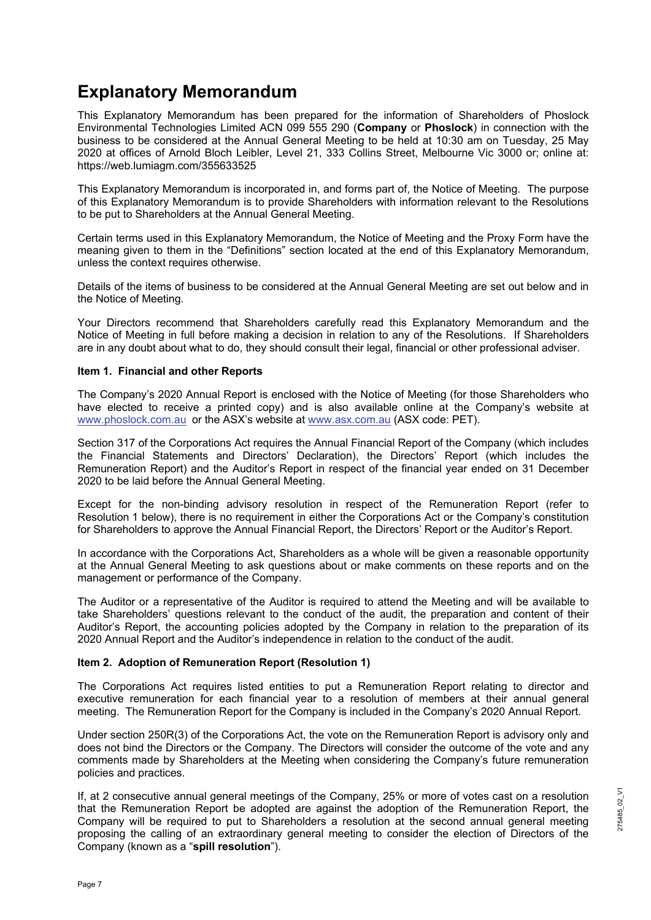# **Explanatory Memorandum**

This Explanatory Memorandum has been prepared for the information of Shareholders of Phoslock Environmental Technologies Limited ACN 099 555 290 (**Company** or **Phoslock**) in connection with the business to be considered at the Annual General Meeting to be held at 10:30 am on Tuesday, 25 May 2020 at offices of Arnold Bloch Leibler, Level 21, 333 Collins Street, Melbourne Vic 3000 or; online at: https://web.lumiagm.com/355633525

This Explanatory Memorandum is incorporated in, and forms part of, the Notice of Meeting. The purpose of this Explanatory Memorandum is to provide Shareholders with information relevant to the Resolutions to be put to Shareholders at the Annual General Meeting.

Certain terms used in this Explanatory Memorandum, the Notice of Meeting and the Proxy Form have the meaning given to them in the "Definitions" section located at the end of this Explanatory Memorandum, unless the context requires otherwise.

Details of the items of business to be considered at the Annual General Meeting are set out below and in the Notice of Meeting.

Your Directors recommend that Shareholders carefully read this Explanatory Memorandum and the Notice of Meeting in full before making a decision in relation to any of the Resolutions. If Shareholders are in any doubt about what to do, they should consult their legal, financial or other professional adviser.

#### **Item 1. Financial and other Reports**

The Company's 2020 Annual Report is enclosed with the Notice of Meeting (for those Shareholders who have elected to receive a printed copy) and is also available online at the Company's website at www.phoslock.com.au or the ASX's website at www.asx.com.au (ASX code: PET).

Section 317 of the Corporations Act requires the Annual Financial Report of the Company (which includes the Financial Statements and Directors' Declaration), the Directors' Report (which includes the Remuneration Report) and the Auditor's Report in respect of the financial year ended on 31 December 2020 to be laid before the Annual General Meeting.

Except for the non-binding advisory resolution in respect of the Remuneration Report (refer to Resolution 1 below), there is no requirement in either the Corporations Act or the Company's constitution for Shareholders to approve the Annual Financial Report, the Directors' Report or the Auditor's Report.

In accordance with the Corporations Act, Shareholders as a whole will be given a reasonable opportunity at the Annual General Meeting to ask questions about or make comments on these reports and on the management or performance of the Company.

The Auditor or a representative of the Auditor is required to attend the Meeting and will be available to take Shareholders' questions relevant to the conduct of the audit, the preparation and content of their Auditor's Report, the accounting policies adopted by the Company in relation to the preparation of its 2020 Annual Report and the Auditor's independence in relation to the conduct of the audit.

#### **Item 2. Adoption of Remuneration Report (Resolution 1)**

The Corporations Act requires listed entities to put a Remuneration Report relating to director and executive remuneration for each financial year to a resolution of members at their annual general meeting. The Remuneration Report for the Company is included in the Company's 2020 Annual Report.

Under section 250R(3) of the Corporations Act, the vote on the Remuneration Report is advisory only and does not bind the Directors or the Company. The Directors will consider the outcome of the vote and any comments made by Shareholders at the Meeting when considering the Company's future remuneration policies and practices.

If, at 2 consecutive annual general meetings of the Company, 25% or more of votes cast on a resolution that the Remuneration Report be adopted are against the adoption of the Remuneration Report, the Company will be required to put to Shareholders a resolution at the second annual general meeting proposing the calling of an extraordinary general meeting to consider the election of Directors of the Company (known as a "**spill resolution**").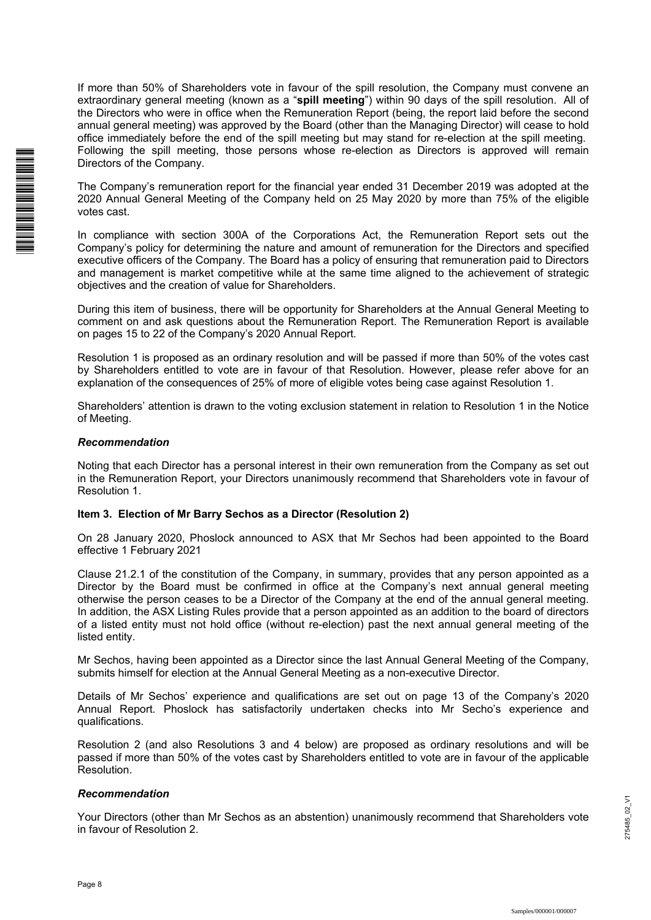\*I000102\*I000102\*I000102\*I000102\*I000102\*I000102\*I000102\*I000102\*I000102\*I000102\*

If more than 50% of Shareholders vote in favour of the spill resolution, the Company must convene an extraordinary general meeting (known as a "**spill meeting**") within 90 days of the spill resolution. All of the Directors who were in office when the Remuneration Report (being, the report laid before the second annual general meeting) was approved by the Board (other than the Managing Director) will cease to hold office immediately before the end of the spill meeting but may stand for re-election at the spill meeting. Following the spill meeting, those persons whose re-election as Directors is approved will remain Directors of the Company.

The Company's remuneration report for the financial year ended 31 December 2019 was adopted at the 2020 Annual General Meeting of the Company held on 25 May 2020 by more than 75% of the eligible votes cast.

In compliance with section 300A of the Corporations Act, the Remuneration Report sets out the Company's policy for determining the nature and amount of remuneration for the Directors and specified executive officers of the Company. The Board has a policy of ensuring that remuneration paid to Directors and management is market competitive while at the same time aligned to the achievement of strategic objectives and the creation of value for Shareholders.

During this item of business, there will be opportunity for Shareholders at the Annual General Meeting to comment on and ask questions about the Remuneration Report. The Remuneration Report is available on pages 15 to 22 of the Company's 2020 Annual Report.

Resolution 1 is proposed as an ordinary resolution and will be passed if more than 50% of the votes cast by Shareholders entitled to vote are in favour of that Resolution. However, please refer above for an explanation of the consequences of 25% of more of eligible votes being case against Resolution 1.

Shareholders' attention is drawn to the voting exclusion statement in relation to Resolution 1 in the Notice of Meeting.

#### *Recommendation*

Noting that each Director has a personal interest in their own remuneration from the Company as set out in the Remuneration Report, your Directors unanimously recommend that Shareholders vote in favour of Resolution 1.

#### **Item 3. Election of Mr Barry Sechos as a Director (Resolution 2)**

On 28 January 2020, Phoslock announced to ASX that Mr Sechos had been appointed to the Board effective 1 February 2021

Clause 21.2.1 of the constitution of the Company, in summary, provides that any person appointed as a Director by the Board must be confirmed in office at the Company's next annual general meeting otherwise the person ceases to be a Director of the Company at the end of the annual general meeting. In addition, the ASX Listing Rules provide that a person appointed as an addition to the board of directors of a listed entity must not hold office (without re-election) past the next annual general meeting of the listed entity.

Mr Sechos, having been appointed as a Director since the last Annual General Meeting of the Company, submits himself for election at the Annual General Meeting as a non-executive Director.

Details of Mr Sechos' experience and qualifications are set out on page 13 of the Company's 2020 Annual Report. Phoslock has satisfactorily undertaken checks into Mr Secho's experience and qualifications.

Resolution 2 (and also Resolutions 3 and 4 below) are proposed as ordinary resolutions and will be passed if more than 50% of the votes cast by Shareholders entitled to vote are in favour of the applicable Resolution.

#### *Recommendation*

Your Directors (other than Mr Sechos as an abstention) unanimously recommend that Shareholders vote in favour of Resolution 2.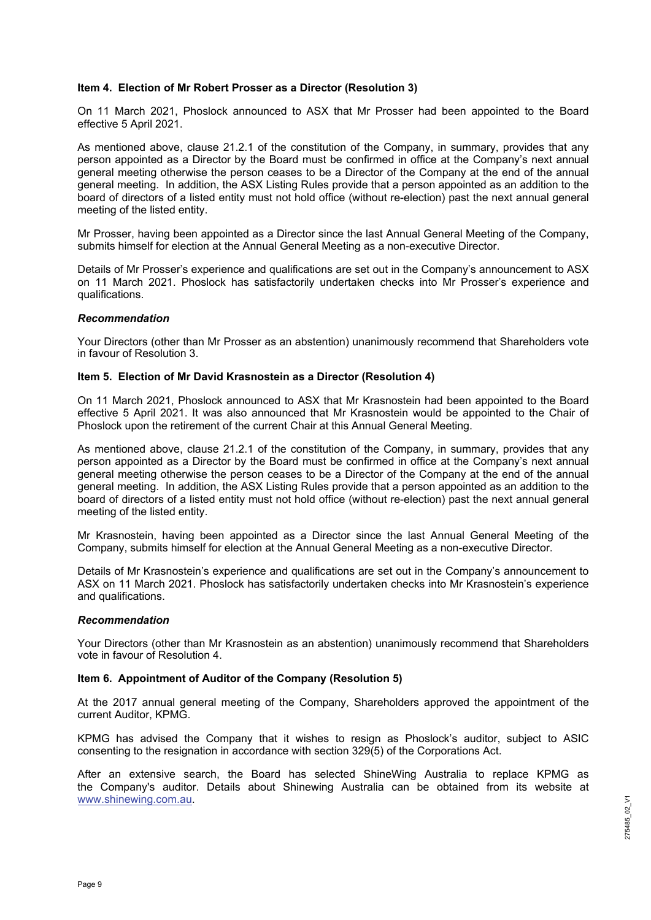#### **Item 4. Election of Mr Robert Prosser as a Director (Resolution 3)**

On 11 March 2021, Phoslock announced to ASX that Mr Prosser had been appointed to the Board effective 5 April 2021.

As mentioned above, clause 21.2.1 of the constitution of the Company, in summary, provides that any person appointed as a Director by the Board must be confirmed in office at the Company's next annual general meeting otherwise the person ceases to be a Director of the Company at the end of the annual general meeting. In addition, the ASX Listing Rules provide that a person appointed as an addition to the board of directors of a listed entity must not hold office (without re-election) past the next annual general meeting of the listed entity.

Mr Prosser, having been appointed as a Director since the last Annual General Meeting of the Company, submits himself for election at the Annual General Meeting as a non-executive Director.

Details of Mr Prosser's experience and qualifications are set out in the Company's announcement to ASX on 11 March 2021. Phoslock has satisfactorily undertaken checks into Mr Prosser's experience and qualifications.

#### *Recommendation*

Your Directors (other than Mr Prosser as an abstention) unanimously recommend that Shareholders vote in favour of Resolution 3.

#### **Item 5. Election of Mr David Krasnostein as a Director (Resolution 4)**

On 11 March 2021, Phoslock announced to ASX that Mr Krasnostein had been appointed to the Board effective 5 April 2021. It was also announced that Mr Krasnostein would be appointed to the Chair of Phoslock upon the retirement of the current Chair at this Annual General Meeting.

As mentioned above, clause 21.2.1 of the constitution of the Company, in summary, provides that any person appointed as a Director by the Board must be confirmed in office at the Company's next annual general meeting otherwise the person ceases to be a Director of the Company at the end of the annual general meeting. In addition, the ASX Listing Rules provide that a person appointed as an addition to the board of directors of a listed entity must not hold office (without re-election) past the next annual general meeting of the listed entity.

Mr Krasnostein, having been appointed as a Director since the last Annual General Meeting of the Company, submits himself for election at the Annual General Meeting as a non-executive Director.

Details of Mr Krasnostein's experience and qualifications are set out in the Company's announcement to ASX on 11 March 2021. Phoslock has satisfactorily undertaken checks into Mr Krasnostein's experience and qualifications.

#### *Recommendation*

Your Directors (other than Mr Krasnostein as an abstention) unanimously recommend that Shareholders vote in favour of Resolution 4.

#### **Item 6. Appointment of Auditor of the Company (Resolution 5)**

At the 2017 annual general meeting of the Company, Shareholders approved the appointment of the current Auditor, KPMG.

KPMG has advised the Company that it wishes to resign as Phoslock's auditor, subject to ASIC consenting to the resignation in accordance with section 329(5) of the Corporations Act.

After an extensive search, the Board has selected ShineWing Australia to replace KPMG as the Company's auditor. Details about Shinewing Australia can be obtained from its website at www.shinewing.com.au.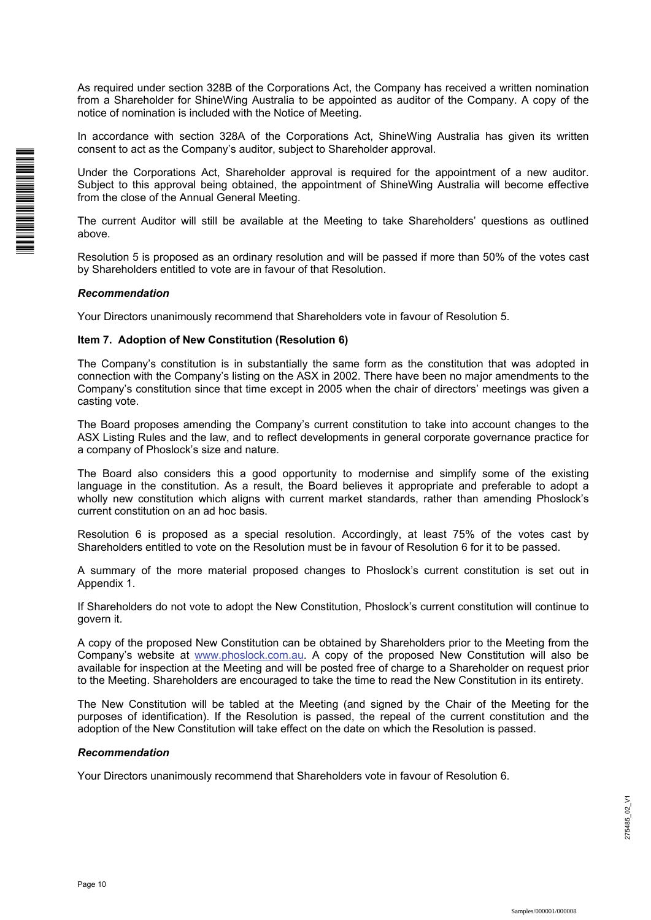As required under section 328B of the Corporations Act, the Company has received a written nomination from a Shareholder for ShineWing Australia to be appointed as auditor of the Company. A copy of the notice of nomination is included with the Notice of Meeting.

In accordance with section 328A of the Corporations Act, ShineWing Australia has given its written consent to act as the Company's auditor, subject to Shareholder approval.

Under the Corporations Act, Shareholder approval is required for the appointment of a new auditor. Subject to this approval being obtained, the appointment of ShineWing Australia will become effective from the close of the Annual General Meeting.

The current Auditor will still be available at the Meeting to take Shareholders' questions as outlined above.

Resolution 5 is proposed as an ordinary resolution and will be passed if more than 50% of the votes cast by Shareholders entitled to vote are in favour of that Resolution.

#### *Recommendation*

\*I00000101\*

Your Directors unanimously recommend that Shareholders vote in favour of Resolution 5.

#### **Item 7. Adoption of New Constitution (Resolution 6)**

The Company's constitution is in substantially the same form as the constitution that was adopted in connection with the Company's listing on the ASX in 2002. There have been no major amendments to the Company's constitution since that time except in 2005 when the chair of directors' meetings was given a casting vote.

The Board proposes amending the Company's current constitution to take into account changes to the ASX Listing Rules and the law, and to reflect developments in general corporate governance practice for a company of Phoslock's size and nature.

The Board also considers this a good opportunity to modernise and simplify some of the existing language in the constitution. As a result, the Board believes it appropriate and preferable to adopt a wholly new constitution which aligns with current market standards, rather than amending Phoslock's current constitution on an ad hoc basis.

Resolution 6 is proposed as a special resolution. Accordingly, at least 75% of the votes cast by Shareholders entitled to vote on the Resolution must be in favour of Resolution 6 for it to be passed.

A summary of the more material proposed changes to Phoslock's current constitution is set out in Appendix 1.

If Shareholders do not vote to adopt the New Constitution, Phoslock's current constitution will continue to govern it.

A copy of the proposed New Constitution can be obtained by Shareholders prior to the Meeting from the Company's website at www.phoslock.com.au. A copy of the proposed New Constitution will also be available for inspection at the Meeting and will be posted free of charge to a Shareholder on request prior to the Meeting. Shareholders are encouraged to take the time to read the New Constitution in its entirety.

The New Constitution will be tabled at the Meeting (and signed by the Chair of the Meeting for the purposes of identification). If the Resolution is passed, the repeal of the current constitution and the adoption of the New Constitution will take effect on the date on which the Resolution is passed.

#### *Recommendation*

Your Directors unanimously recommend that Shareholders vote in favour of Resolution 6.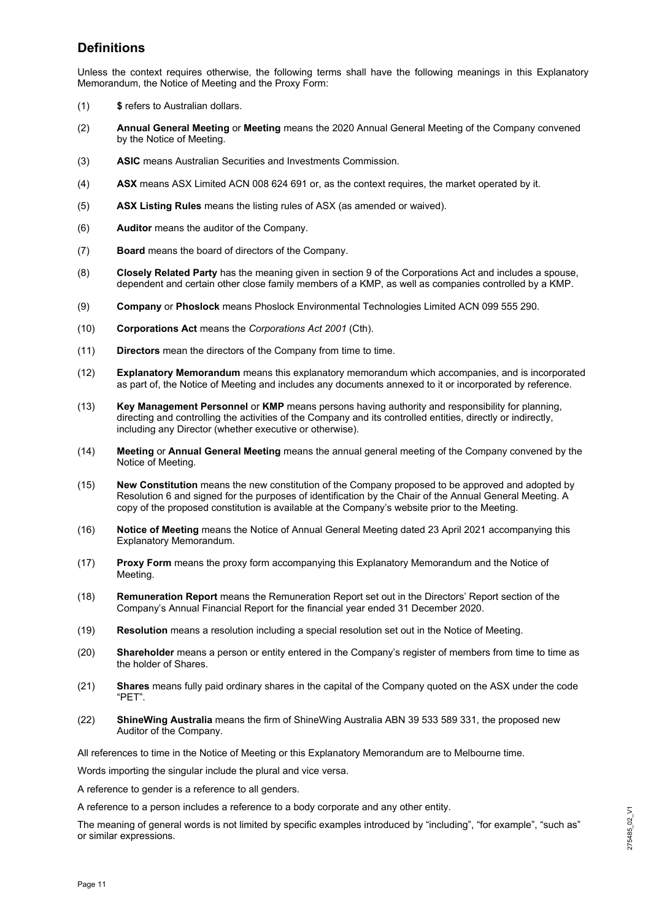### **Definitions**

Unless the context requires otherwise, the following terms shall have the following meanings in this Explanatory Memorandum, the Notice of Meeting and the Proxy Form:

- (1) **\$** refers to Australian dollars.
- (2) **Annual General Meeting** or **Meeting** means the 2020 Annual General Meeting of the Company convened by the Notice of Meeting.
- (3) **ASIC** means Australian Securities and Investments Commission.
- (4) **ASX** means ASX Limited ACN 008 624 691 or, as the context requires, the market operated by it.
- (5) **ASX Listing Rules** means the listing rules of ASX (as amended or waived).
- (6) **Auditor** means the auditor of the Company.
- (7) **Board** means the board of directors of the Company.
- (8) **Closely Related Party** has the meaning given in section 9 of the Corporations Act and includes a spouse, dependent and certain other close family members of a KMP, as well as companies controlled by a KMP.
- (9) **Company** or **Phoslock** means Phoslock Environmental Technologies Limited ACN 099 555 290.
- (10) **Corporations Act** means the *Corporations Act 2001* (Cth).
- (11) **Directors** mean the directors of the Company from time to time.
- (12) **Explanatory Memorandum** means this explanatory memorandum which accompanies, and is incorporated as part of, the Notice of Meeting and includes any documents annexed to it or incorporated by reference.
- (13) **Key Management Personnel** or **KMP** means persons having authority and responsibility for planning, directing and controlling the activities of the Company and its controlled entities, directly or indirectly, including any Director (whether executive or otherwise).
- (14) **Meeting** or **Annual General Meeting** means the annual general meeting of the Company convened by the Notice of Meeting.
- (15) **New Constitution** means the new constitution of the Company proposed to be approved and adopted by Resolution 6 and signed for the purposes of identification by the Chair of the Annual General Meeting. A copy of the proposed constitution is available at the Company's website prior to the Meeting.
- (16) **Notice of Meeting** means the Notice of Annual General Meeting dated 23 April 2021 accompanying this Explanatory Memorandum.
- (17) **Proxy Form** means the proxy form accompanying this Explanatory Memorandum and the Notice of Meeting.
- (18) **Remuneration Report** means the Remuneration Report set out in the Directors' Report section of the Company's Annual Financial Report for the financial year ended 31 December 2020.
- (19) **Resolution** means a resolution including a special resolution set out in the Notice of Meeting.
- (20) **Shareholder** means a person or entity entered in the Company's register of members from time to time as the holder of Shares.
- (21) **Shares** means fully paid ordinary shares in the capital of the Company quoted on the ASX under the code "PET".
- (22) **ShineWing Australia** means the firm of ShineWing Australia ABN 39 533 589 331, the proposed new Auditor of the Company.

All references to time in the Notice of Meeting or this Explanatory Memorandum are to Melbourne time.

Words importing the singular include the plural and vice versa.

A reference to gender is a reference to all genders.

A reference to a person includes a reference to a body corporate and any other entity.

The meaning of general words is not limited by specific examples introduced by "including", "for example", "such as" or similar expressions.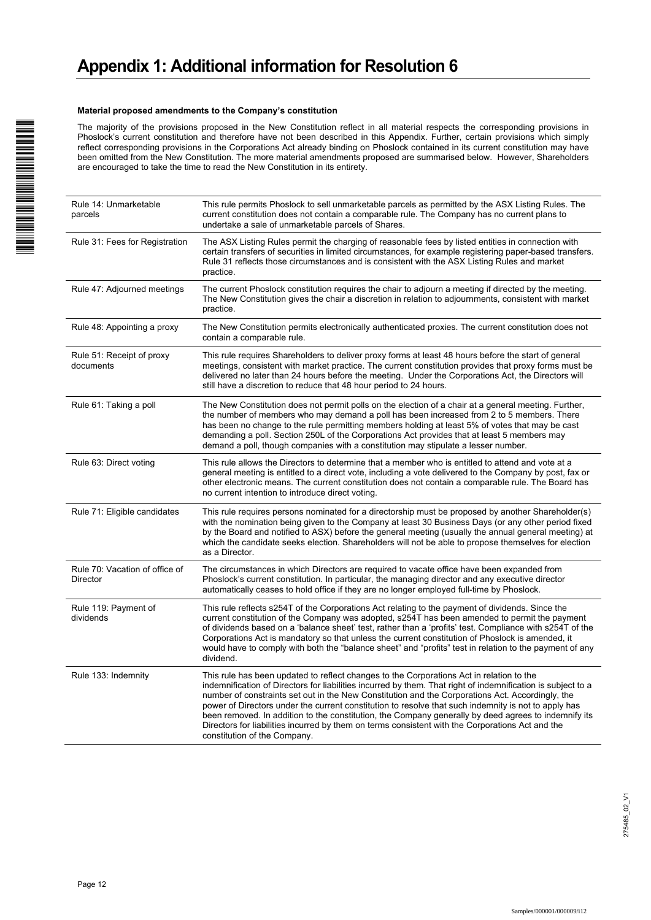#### **Material proposed amendments to the Company's constitution**

The majority of the provisions proposed in the New Constitution reflect in all material respects the corresponding provisions in Phoslock's current constitution and therefore have not been described in this Appendix. Further, certain provisions which simply reflect corresponding provisions in the Corporations Act already binding on Phoslock contained in its current constitution may have been omitted from the New Constitution. The more material amendments proposed are summarised below. However, Shareholders are encouraged to take the time to read the New Constitution in its entirety.

| Rule 14: Unmarketable<br>parcels           | This rule permits Phoslock to sell unmarketable parcels as permitted by the ASX Listing Rules. The<br>current constitution does not contain a comparable rule. The Company has no current plans to<br>undertake a sale of unmarketable parcels of Shares.                                                                                                                                                                                                                                                                                                                                                                                                        |
|--------------------------------------------|------------------------------------------------------------------------------------------------------------------------------------------------------------------------------------------------------------------------------------------------------------------------------------------------------------------------------------------------------------------------------------------------------------------------------------------------------------------------------------------------------------------------------------------------------------------------------------------------------------------------------------------------------------------|
| Rule 31: Fees for Registration             | The ASX Listing Rules permit the charging of reasonable fees by listed entities in connection with<br>certain transfers of securities in limited circumstances, for example registering paper-based transfers.<br>Rule 31 reflects those circumstances and is consistent with the ASX Listing Rules and market<br>practice.                                                                                                                                                                                                                                                                                                                                      |
| Rule 47: Adjourned meetings                | The current Phoslock constitution requires the chair to adjourn a meeting if directed by the meeting.<br>The New Constitution gives the chair a discretion in relation to adjournments, consistent with market<br>practice.                                                                                                                                                                                                                                                                                                                                                                                                                                      |
| Rule 48: Appointing a proxy                | The New Constitution permits electronically authenticated proxies. The current constitution does not<br>contain a comparable rule.                                                                                                                                                                                                                                                                                                                                                                                                                                                                                                                               |
| Rule 51: Receipt of proxy<br>documents     | This rule requires Shareholders to deliver proxy forms at least 48 hours before the start of general<br>meetings, consistent with market practice. The current constitution provides that proxy forms must be<br>delivered no later than 24 hours before the meeting. Under the Corporations Act, the Directors will<br>still have a discretion to reduce that 48 hour period to 24 hours.                                                                                                                                                                                                                                                                       |
| Rule 61: Taking a poll                     | The New Constitution does not permit polls on the election of a chair at a general meeting. Further,<br>the number of members who may demand a poll has been increased from 2 to 5 members. There<br>has been no change to the rule permitting members holding at least 5% of votes that may be cast<br>demanding a poll. Section 250L of the Corporations Act provides that at least 5 members may<br>demand a poll, though companies with a constitution may stipulate a lesser number.                                                                                                                                                                        |
| Rule 63: Direct voting                     | This rule allows the Directors to determine that a member who is entitled to attend and vote at a<br>general meeting is entitled to a direct vote, including a vote delivered to the Company by post, fax or<br>other electronic means. The current constitution does not contain a comparable rule. The Board has<br>no current intention to introduce direct voting.                                                                                                                                                                                                                                                                                           |
| Rule 71: Eligible candidates               | This rule requires persons nominated for a directorship must be proposed by another Shareholder(s)<br>with the nomination being given to the Company at least 30 Business Days (or any other period fixed<br>by the Board and notified to ASX) before the general meeting (usually the annual general meeting) at<br>which the candidate seeks election. Shareholders will not be able to propose themselves for election<br>as a Director.                                                                                                                                                                                                                      |
| Rule 70: Vacation of office of<br>Director | The circumstances in which Directors are required to vacate office have been expanded from<br>Phoslock's current constitution. In particular, the managing director and any executive director<br>automatically ceases to hold office if they are no longer employed full-time by Phoslock.                                                                                                                                                                                                                                                                                                                                                                      |
| Rule 119: Payment of<br>dividends          | This rule reflects s254T of the Corporations Act relating to the payment of dividends. Since the<br>current constitution of the Company was adopted, s254T has been amended to permit the payment<br>of dividends based on a 'balance sheet' test, rather than a 'profits' test. Compliance with s254T of the<br>Corporations Act is mandatory so that unless the current constitution of Phoslock is amended, it<br>would have to comply with both the "balance sheet" and "profits" test in relation to the payment of any<br>dividend.                                                                                                                        |
| Rule 133: Indemnity                        | This rule has been updated to reflect changes to the Corporations Act in relation to the<br>indemnification of Directors for liabilities incurred by them. That right of indemnification is subject to a<br>number of constraints set out in the New Constitution and the Corporations Act. Accordingly, the<br>power of Directors under the current constitution to resolve that such indemnity is not to apply has<br>been removed. In addition to the constitution, the Company generally by deed agrees to indemnify its<br>Directors for liabilities incurred by them on terms consistent with the Corporations Act and the<br>constitution of the Company. |

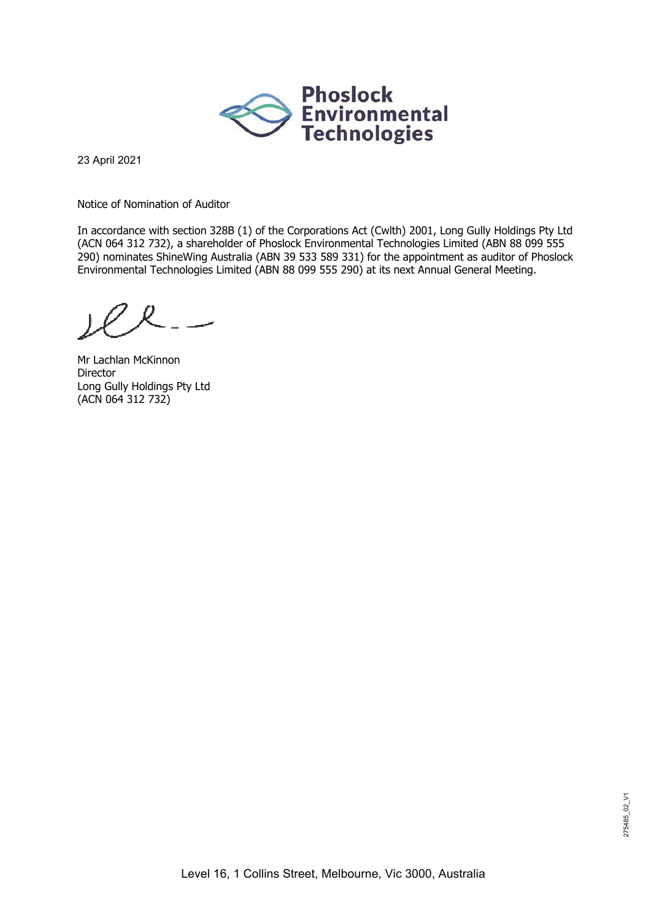

23 April 2021

Notice of Nomination of Auditor

In accordance with section 328B (1) of the Corporations Act (Cwlth) 2001, Long Gully Holdings Pty Ltd (ACN 064 312 732), a shareholder of Phoslock Environmental Technologies Limited (ABN 88 099 555 290) nominates ShineWing Australia (ABN 39 533 589 331) for the appointment as auditor of Phoslock Environmental Technologies Limited (ABN 88 099 555 290) at its next Annual General Meeting.

Mr Lachlan McKinnon Director Long Gully Holdings Pty Ltd (ACN 064 312 732)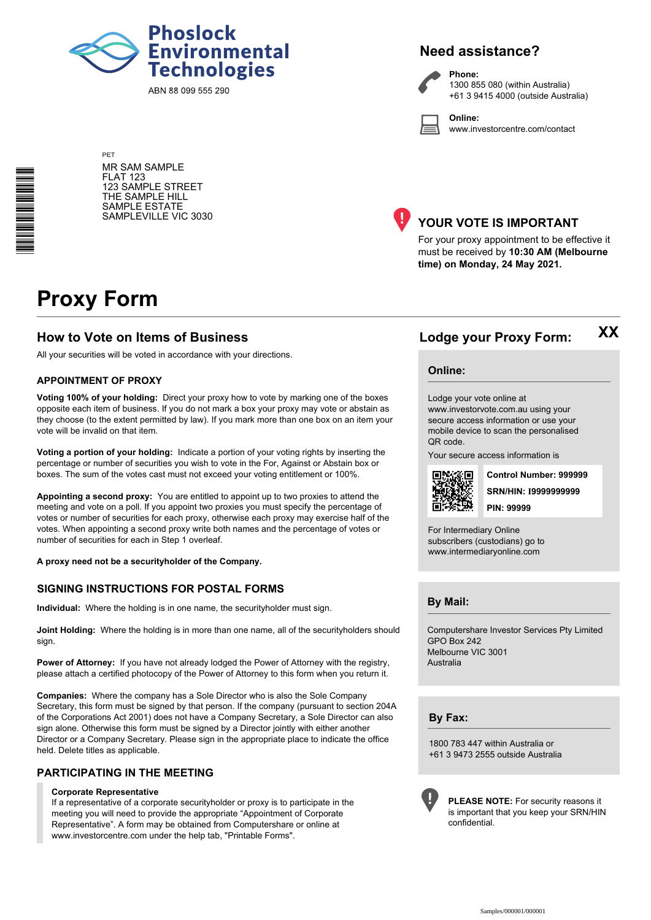

ABN 88 099 555 290

### **Need assistance?**

**Phone:**

**Online:**



1300 855 080 (within Australia) +61 3 9415 4000 (outside Australia)

www.investorcentre.com/contact

PET MR SAM SAMPLE FLAT 123 123 SAMPLE STREET THE SAMPLE HILL SAMPLE ESTATE SAMPLEVILLE VIC 3030



### **YOUR VOTE IS IMPORTANT**

For your proxy appointment to be effective it must be received by **10:30 AM (Melbourne time) on Monday, 24 May 2021.**

# **Proxy Form**

#### **How to Vote on Items of Business Lodge your Proxy Form:**

All your securities will be voted in accordance with your directions.

#### **APPOINTMENT OF PROXY**

**Voting 100% of your holding:** Direct your proxy how to vote by marking one of the boxes opposite each item of business. If you do not mark a box your proxy may vote or abstain as they choose (to the extent permitted by law). If you mark more than one box on an item your vote will be invalid on that item.

**Voting a portion of your holding:** Indicate a portion of your voting rights by inserting the percentage or number of securities you wish to vote in the For, Against or Abstain box or boxes. The sum of the votes cast must not exceed your voting entitlement or 100%.

**Appointing a second proxy:** You are entitled to appoint up to two proxies to attend the meeting and vote on a poll. If you appoint two proxies you must specify the percentage of votes or number of securities for each proxy, otherwise each proxy may exercise half of the votes. When appointing a second proxy write both names and the percentage of votes or number of securities for each in Step 1 overleaf.

**A proxy need not be a securityholder of the Company.**

#### **SIGNING INSTRUCTIONS FOR POSTAL FORMS**

**Individual:** Where the holding is in one name, the securityholder must sign.

**Joint Holding:** Where the holding is in more than one name, all of the securityholders should sign.

**Power of Attorney:** If you have not already lodged the Power of Attorney with the registry, please attach a certified photocopy of the Power of Attorney to this form when you return it.

**Companies:** Where the company has a Sole Director who is also the Sole Company Secretary, this form must be signed by that person. If the company (pursuant to section 204A of the Corporations Act 2001) does not have a Company Secretary, a Sole Director can also sign alone. Otherwise this form must be signed by a Director jointly with either another Director or a Company Secretary. Please sign in the appropriate place to indicate the office held. Delete titles as applicable.

#### **PARTICIPATING IN THE MEETING**

#### **Corporate Representative**

If a representative of a corporate securityholder or proxy is to participate in the meeting you will need to provide the appropriate "Appointment of Corporate Representative". A form may be obtained from Computershare or online at www.investorcentre.com under the help tab, "Printable Forms".

#### **Online:**

Lodge your vote online at www.investorvote.com.au using your

secure access information or use your mobile device to scan the personalised QR code.

Your secure access information is



**SRN/HIN: I9999999999 Control Number: 999999 PIN: 99999**

**XX**

For Intermediary Online subscribers (custodians) go to www.intermediaryonline.com

**By Mail:**

Computershare Investor Services Pty Limited GPO Box 242 Melbourne VIC 3001 Australia

**By Fax:**

1800 783 447 within Australia or +61 3 9473 2555 outside Australia



**PLEASE NOTE:** For security reasons it is important that you keep your SRN/HIN confidential.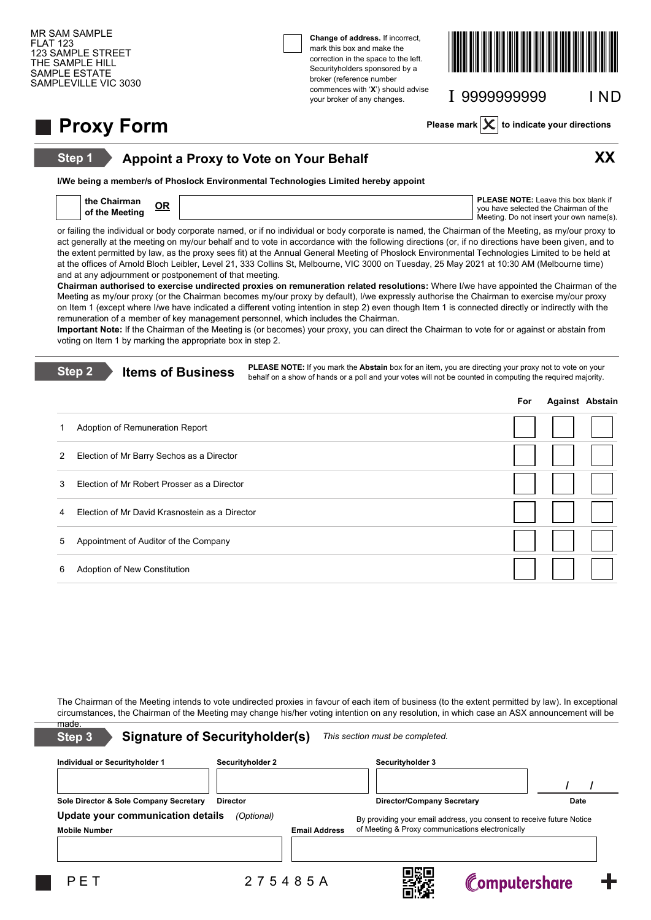**Step 1**

**Change of address.** If incorrect, mark this box and make the correction in the space to the left. Securityholders sponsored by a broker (reference number commences with '**X**') should advise your broker of any changes.



I 9999999999 I ND

**Proxy Form Please mark**  $\times$  to indicate your directions

### **Appoint a Proxy to Vote on Your Behalf XX**

**I/We being a member/s of Phoslock Environmental Technologies Limited hereby appoint**

| the<br>Chairman<br>∩o | <b>PLEASE NOTE:</b> Leave this box blank if |
|-----------------------|---------------------------------------------|
| of the Meeting        | vou have selected the Chairman of the       |
|                       | Meeting. Do not insert your own name(s).    |

or failing the individual or body corporate named, or if no individual or body corporate is named, the Chairman of the Meeting, as my/our proxy to act generally at the meeting on my/our behalf and to vote in accordance with the following directions (or, if no directions have been given, and to the extent permitted by law, as the proxy sees fit) at the Annual General Meeting of Phoslock Environmental Technologies Limited to be held at at the offices of Arnold Bloch Leibler, Level 21, 333 Collins St, Melbourne, VIC 3000 on Tuesday, 25 May 2021 at 10:30 AM (Melbourne time) and at any adjournment or postponement of that meeting.

**Chairman authorised to exercise undirected proxies on remuneration related resolutions:** Where I/we have appointed the Chairman of the Meeting as my/our proxy (or the Chairman becomes my/our proxy by default), I/we expressly authorise the Chairman to exercise my/our proxy on Item 1 (except where I/we have indicated a different voting intention in step 2) even though Item 1 is connected directly or indirectly with the remuneration of a member of key management personnel, which includes the Chairman.

**Important Note:** If the Chairman of the Meeting is (or becomes) your proxy, you can direct the Chairman to vote for or against or abstain from voting on Item 1 by marking the appropriate box in step 2.

| Step 2<br><b>Items of Business</b> |                                                | <b>PLEASE NOTE:</b> If you mark the <b>Abstain</b> box for an item, you are directing your proxy not to vote on your<br>behalf on a show of hands or a poll and your votes will not be counted in computing the required majority. |     |                        |  |  |  |
|------------------------------------|------------------------------------------------|------------------------------------------------------------------------------------------------------------------------------------------------------------------------------------------------------------------------------------|-----|------------------------|--|--|--|
|                                    |                                                |                                                                                                                                                                                                                                    | For | <b>Against Abstain</b> |  |  |  |
|                                    | Adoption of Remuneration Report                |                                                                                                                                                                                                                                    |     |                        |  |  |  |
| 2                                  | Election of Mr Barry Sechos as a Director      |                                                                                                                                                                                                                                    |     |                        |  |  |  |
| 3                                  | Election of Mr Robert Prosser as a Director    |                                                                                                                                                                                                                                    |     |                        |  |  |  |
| 4                                  | Election of Mr David Krasnostein as a Director |                                                                                                                                                                                                                                    |     |                        |  |  |  |
| 5.                                 | Appointment of Auditor of the Company          |                                                                                                                                                                                                                                    |     |                        |  |  |  |
| 6                                  | Adoption of New Constitution                   |                                                                                                                                                                                                                                    |     |                        |  |  |  |

The Chairman of the Meeting intends to vote undirected proxies in favour of each item of business (to the extent permitted by law). In exceptional circumstances, the Chairman of the Meeting may change his/her voting intention on any resolution, in which case an ASX announcement will be made.

| <b>Signature of Securityholder(s)</b><br>Step 3                         |                  |                      | This section must be completed.                                                                                           |               |      |
|-------------------------------------------------------------------------|------------------|----------------------|---------------------------------------------------------------------------------------------------------------------------|---------------|------|
| Individual or Securityholder 1                                          | Securityholder 2 |                      | <b>Securityholder 3</b>                                                                                                   |               |      |
| Sole Director & Sole Company Secretary                                  | <b>Director</b>  |                      | <b>Director/Company Secretary</b>                                                                                         |               | Date |
| Update your communication details<br>(Optional)<br><b>Mobile Number</b> |                  | <b>Email Address</b> | By providing your email address, you consent to receive future Notice<br>of Meeting & Proxy communications electronically |               |      |
| PFT                                                                     | 275485A          |                      |                                                                                                                           | Computershare |      |